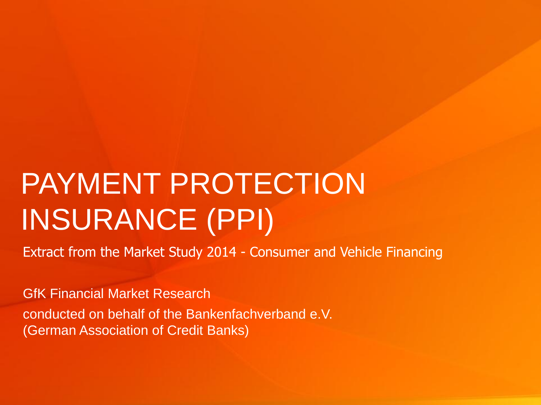# PAYMENT PROTECTION INSURANCE (PPI)

Extract from the Market Study 2014 - Consumer and Vehicle Financing

GfK Financial Market Research conducted on behalf of the Bankenfachverband e.V. (German Association of Credit Banks)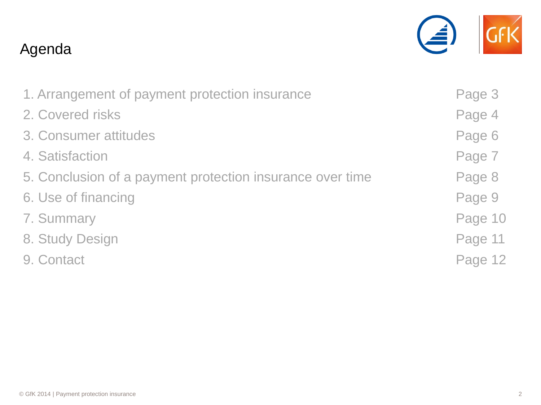## Agenda

| 1. Arrangement of payment protection insurance            | Page 3  |
|-----------------------------------------------------------|---------|
| 2. Covered risks                                          | Page 4  |
| 3. Consumer attitudes                                     | Page 6  |
| 4. Satisfaction                                           | Page 7  |
| 5. Conclusion of a payment protection insurance over time | Page 8  |
| 6. Use of financing                                       | Page 9  |
| 7. Summary                                                | Page 10 |
| 8. Study Design                                           | Page 11 |
| 9. Contact                                                | Page 12 |

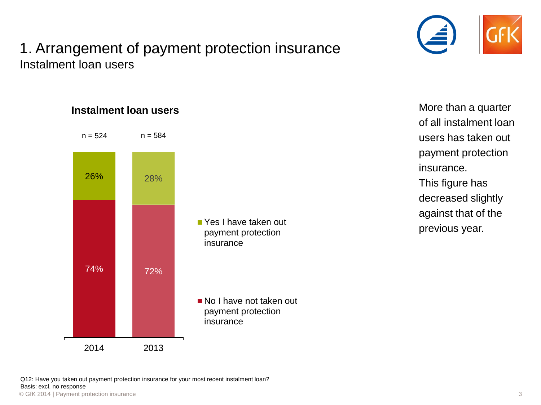### 1. Arrangement of payment protection insurance Instalment loan users





■ No I have not taken out payment protection insurance

© GfK 2014 | Payment protection insurance 3 Q12: Have you taken out payment protection insurance for your most recent instalment loan? Basis: excl. no response

2014 2013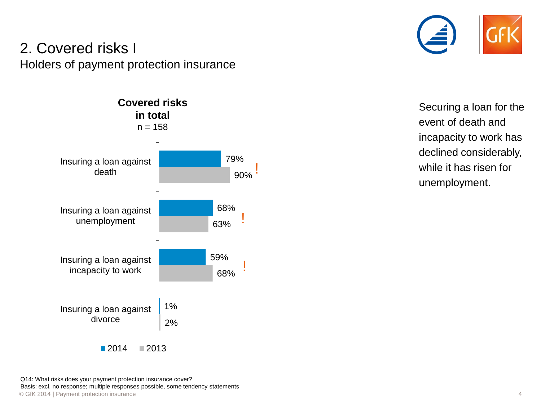#### 2. Covered risks I Holders of payment protection insurance





Securing a loan for the event of death and incapacity to work has declined considerably, while it has risen for unemployment.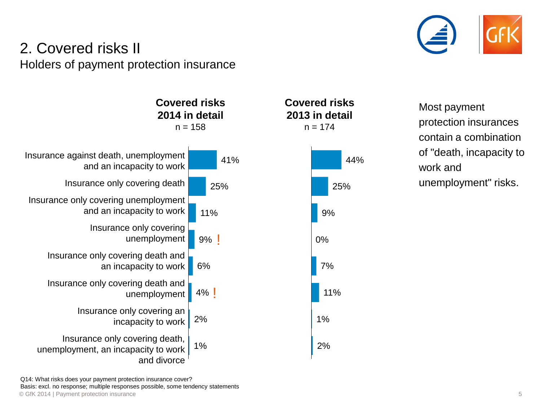

#### 2. Covered risks II Holders of payment protection insurance



Most payment protection insurances contain a combination of "death, incapacity to work and unemployment" risks.

© GfK 2014 | Payment protection insurance 5 Q14: What risks does your payment protection insurance cover? Basis: excl. no response; multiple responses possible, some tendency statements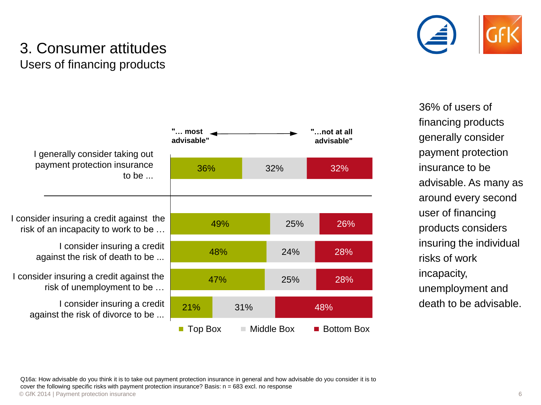

#### 3. Consumer attitudes Users of financing products



36% of users of financing products generally consider payment protection insurance to be advisable. As many as around every second user of financing products considers insuring the individual risks of work incapacity, unemployment and death to be advisable.

I generally consider taking out payment protection insurance to be ...

I consider insuring a credit against the risk of an incapacity to work to be …

> I consider insuring a credit against the risk of death to be ...

I consider insuring a credit against the risk of unemployment to be …

> I consider insuring a credit against the risk of divorce to be ...

© GfK 2014 | Payment protection insurance 6 Q16a: How advisable do you think it is to take out payment protection insurance in general and how advisable do you consider it is to cover the following specific risks with payment protection insurance? Basis:  $n = 683$  excl. no response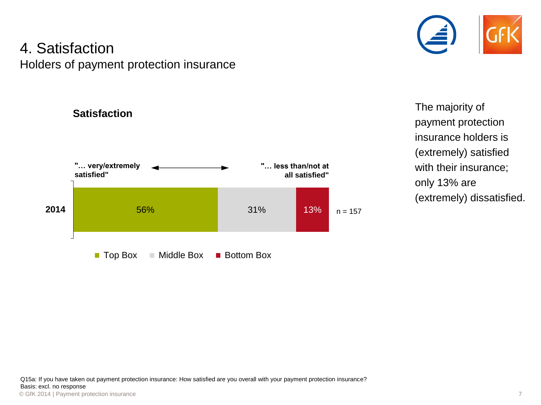#### 4. Satisfaction Holders of payment protection insurance

**Satisfaction**



The majority of payment protection insurance holders is (extremely) satisfied with their insurance; only 13% are (extremely) dissatisfied.

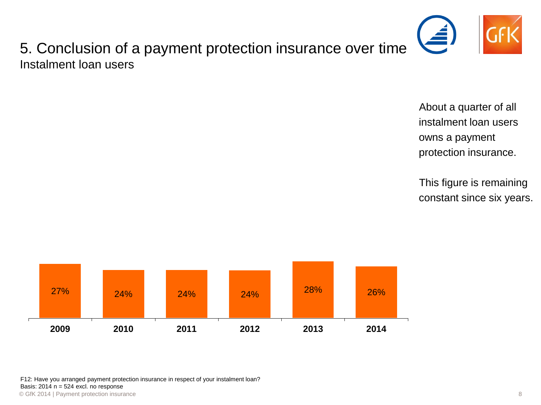

5. Conclusion of a payment protection insurance over time Instalment loan users

> About a quarter of all instalment loan users owns a payment protection insurance.

This figure is remaining constant since six years.



© GfK 2014 | Payment protection insurance 8 F12: Have you arranged payment protection insurance in respect of your instalment loan? Basis:  $2014$  n = 524 excl. no response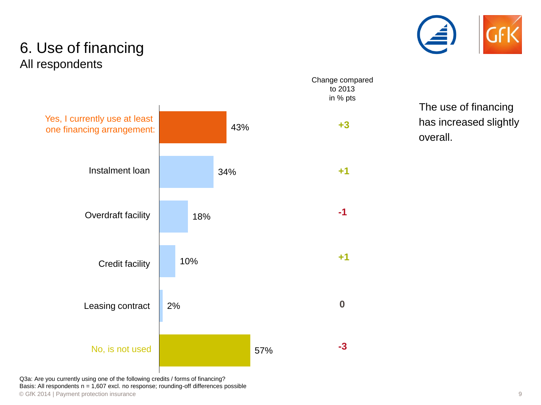

#### 6. Use of financing All respondents



The use of financing has increased slightly overall.

© GfK 2014 | Payment protection insurance 9 Q3a: Are you currently using one of the following credits / forms of financing? Basis: All respondents  $n = 1,607$  excl. no response; rounding-off differences possible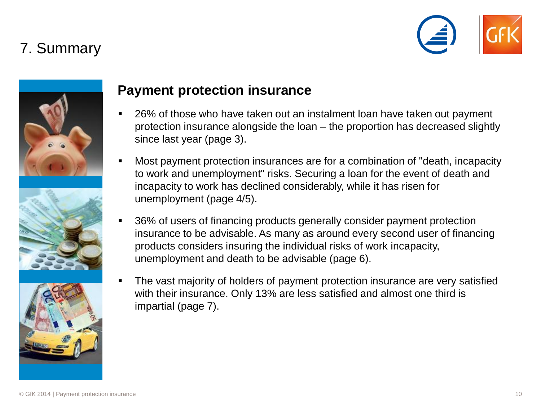## 7. Summary









#### **Payment protection insurance**

- 26% of those who have taken out an instalment loan have taken out payment protection insurance alongside the loan – the proportion has decreased slightly since last year (page 3).
- Most payment protection insurances are for a combination of "death, incapacity to work and unemployment" risks. Securing a loan for the event of death and incapacity to work has declined considerably, while it has risen for unemployment (page 4/5).
- 36% of users of financing products generally consider payment protection insurance to be advisable. As many as around every second user of financing products considers insuring the individual risks of work incapacity, unemployment and death to be advisable (page 6).
- The vast majority of holders of payment protection insurance are very satisfied with their insurance. Only 13% are less satisfied and almost one third is impartial (page 7).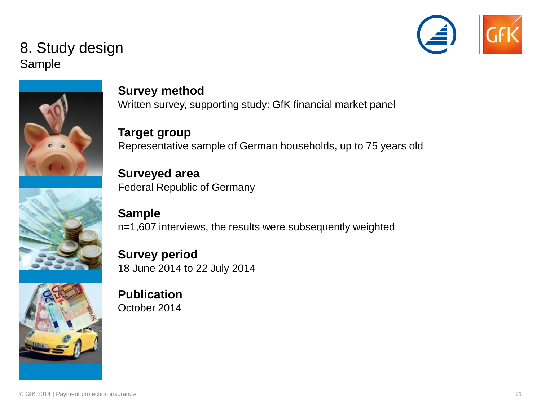

#### 8. Study design Sample





**Target group** Representative sample of German households, up to 75 years old

**Surveyed area** Federal Republic of Germany

**Sample** n=1,607 interviews, the results were subsequently weighted

**Survey period** 18 June 2014 to 22 July 2014

**Publication** October 2014